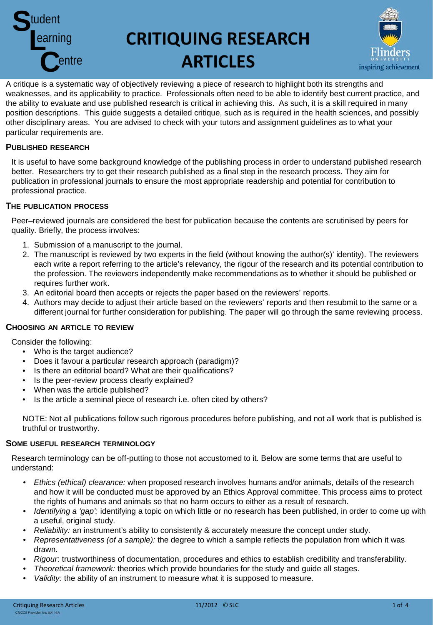

# **CRITIQUING RESEARCH ARTICLES**



A critique is a systematic way of objectively reviewing a piece of research to highlight both its strengths and weaknesses, and its applicability to practice. Professionals often need to be able to identify best current practice, and the ability to evaluate and use published research is critical in achieving this. As such, it is a skill required in many position descriptions. This guide suggests a detailed critique, such as is required in the health sciences, and possibly other disciplinary areas. You are advised to check with your tutors and assignment guidelines as to what your particular requirements are.

# **PUBLISHED RESEARCH**

It is useful to have some background knowledge of the publishing process in order to understand published research better. Researchers try to get their research published as a final step in the research process. They aim for publication in professional journals to ensure the most appropriate readership and potential for contribution to professional practice.

# **THE PUBLICATION PROCESS**

Peer–reviewed journals are considered the best for publication because the contents are scrutinised by peers for quality. Briefly, the process involves:

- 1. Submission of a manuscript to the journal.
- 2. The manuscript is reviewed by two experts in the field (without knowing the author(s)' identity). The reviewers each write a report referring to the article's relevancy, the rigour of the research and its potential contribution to the profession. The reviewers independently make recommendations as to whether it should be published or requires further work.
- 3. An editorial board then accepts or rejects the paper based on the reviewers' reports.
- 4. Authors may decide to adjust their article based on the reviewers' reports and then resubmit to the same or a different journal for further consideration for publishing. The paper will go through the same reviewing process.

# **CHOOSING AN ARTICLE TO REVIEW**

Consider the following:

- Who is the target audience?
- Does it favour a particular research approach (paradigm)?
- Is there an editorial board? What are their qualifications?
- Is the peer-review process clearly explained?
- When was the article published?
- Is the article a seminal piece of research i.e. often cited by others?

NOTE: Not all publications follow such rigorous procedures before publishing, and not all work that is published is truthful or trustworthy.

# **SOME USEFUL RESEARCH TERMINOLOGY**

Research terminology can be off-putting to those not accustomed to it. Below are some terms that are useful to understand:

- *Ethics (ethical) clearance:* when proposed research involves humans and/or animals, details of the research and how it will be conducted must be approved by an Ethics Approval committee. This process aims to protect the rights of humans and animals so that no harm occurs to either as a result of research.
- *Identifying a 'gap':* identifying a topic on which little or no research has been published, in order to come up with a useful, original study.
- *Reliability:* an instrument's ability to consistently & accurately measure the concept under study.
- *Representativeness (of a sample):* the degree to which a sample reflects the population from which it was drawn.
- *Rigour*: trustworthiness of documentation, procedures and ethics to establish credibility and transferability.
- *Theoretical framework:* theories which provide boundaries for the study and guide all stages.
- *Validity:* the ability of an instrument to measure what it is supposed to measure.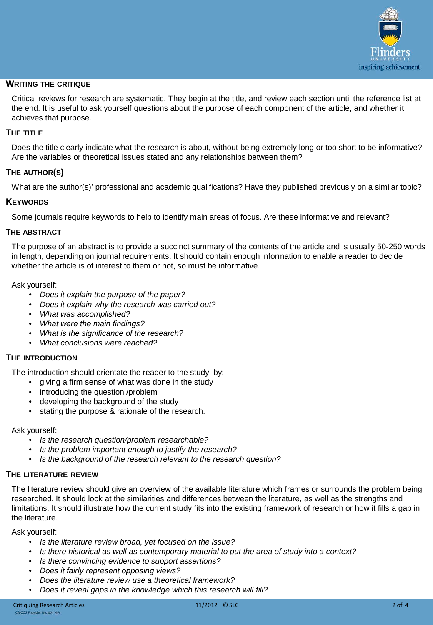

# **WRITING THE CRITIQUE**

Critical reviews for research are systematic. They begin at the title, and review each section until the reference list at the end. It is useful to ask yourself questions about the purpose of each component of the article, and whether it achieves that purpose.

# **THE TITLE**

Does the title clearly indicate what the research is about, without being extremely long or too short to be informative? Are the variables or theoretical issues stated and any relationships between them?

# **THE AUTHOR(S)**

What are the author(s)' professional and academic qualifications? Have they published previously on a similar topic?

# **KEYWORDS**

Some journals require keywords to help to identify main areas of focus. Are these informative and relevant?

## **THE ABSTRACT**

The purpose of an abstract is to provide a succinct summary of the contents of the article and is usually 50-250 words in length, depending on journal requirements. It should contain enough information to enable a reader to decide whether the article is of interest to them or not, so must be informative.

Ask yourself:

- *Does it explain the purpose of the paper?*
- *Does it explain why the research was carried out?*
- *What was accomplished?*
- *What were the main findings?*
- *What is the significance of the research?*
- *What conclusions were reached?*

# **THE INTRODUCTION**

The introduction should orientate the reader to the study, by:

- giving a firm sense of what was done in the study
- introducing the question /problem
- developing the background of the study
- stating the purpose & rationale of the research.

# Ask yourself:

- *Is the research question/problem researchable?*
- *Is the problem important enough to justify the research?*
- *Is the background of the research relevant to the research question?*

# **THE LITERATURE REVIEW**

The literature review should give an overview of the available literature which frames or surrounds the problem being researched. It should look at the similarities and differences between the literature, as well as the strengths and limitations. It should illustrate how the current study fits into the existing framework of research or how it fills a gap in the literature.

Ask yourself:

- *Is the literature review broad, yet focused on the issue?*
- *Is there historical as well as contemporary material to put the area of study into a context?*
- *Is there convincing evidence to support assertions?*
- *Does it fairly represent opposing views?*
- *Does the literature review use a theoretical framework?*
- *Does it reveal gaps in the knowledge which this research will fill?*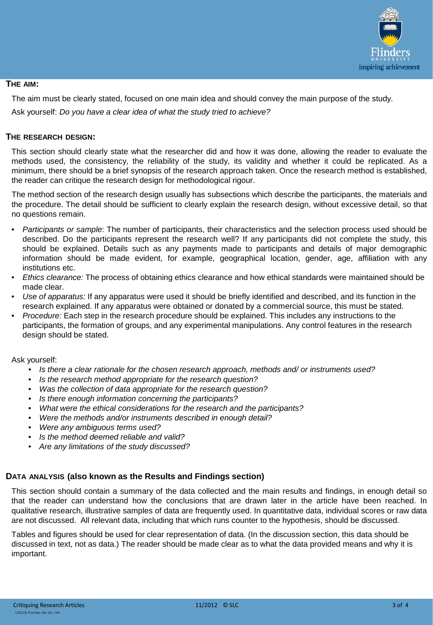

# **THE AIM:**

The aim must be clearly stated, focused on one main idea and should convey the main purpose of the study.

Ask yourself: *Do you have a clear idea of what the study tried to achieve?*

# **THE RESEARCH DESIGN:**

This section should clearly state what the researcher did and how it was done, allowing the reader to evaluate the methods used, the consistency, the reliability of the study, its validity and whether it could be replicated. As a minimum, there should be a brief synopsis of the research approach taken. Once the research method is established, the reader can critique the research design for methodological rigour.

The method section of the research design usually has subsections which describe the participants, the materials and the procedure. The detail should be sufficient to clearly explain the research design, without excessive detail, so that no questions remain.

- *Participants or sample*: The number of participants, their characteristics and the selection process used should be described. Do the participants represent the research well? If any participants did not complete the study, this should be explained. Details such as any payments made to participants and details of major demographic information should be made evident, for example, geographical location, gender, age, affiliation with any institutions etc.
- *Ethics clearance:* The process of obtaining ethics clearance and how ethical standards were maintained should be made clear.
- *Use of apparatus:* If any apparatus were used it should be briefly identified and described, and its function in the research explained. If any apparatus were obtained or donated by a commercial source, this must be stated.
- *Procedure:* Each step in the research procedure should be explained. This includes any instructions to the participants, the formation of groups, and any experimental manipulations. Any control features in the research design should be stated.

# Ask yourself:

- *Is there a clear rationale for the chosen research approach, methods and/ or instruments used?*
- *Is the research method appropriate for the research question?*
- *Was the collection of data appropriate for the research question?*
- *Is there enough information concerning the participants?*
- *What were the ethical considerations for the research and the participants?*
- *Were the methods and/or instruments described in enough detail?*
- *Were any ambiguous terms used?*
- *Is the method deemed reliable and valid?*
- *Are any limitations of the study discussed?*

# **DATA ANALYSIS (also known as the Results and Findings section)**

This section should contain a summary of the data collected and the main results and findings, in enough detail so that the reader can understand how the conclusions that are drawn later in the article have been reached. In qualitative research, illustrative samples of data are frequently used. In quantitative data, individual scores or raw data are not discussed. All relevant data, including that which runs counter to the hypothesis, should be discussed.

Tables and figures should be used for clear representation of data. (In the discussion section, this data should be discussed in text, not as data.) The reader should be made clear as to what the data provided means and why it is important.